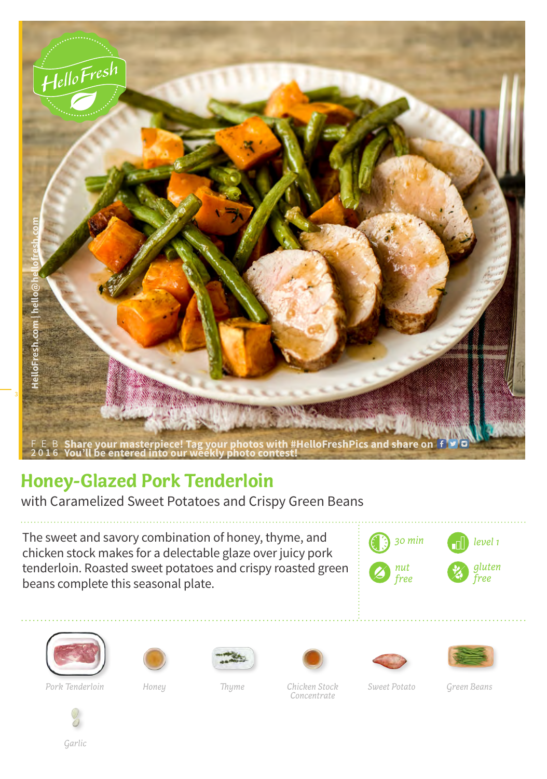

## **Honey-Glazed Pork Tenderloin**

with Caramelized Sweet Potatoes and Crispy Green Beans

The sweet and savory combination of honey, thyme, and chicken stock makes for a delectable glaze over juicy pork tenderloin. Roasted sweet potatoes and crispy roasted green beans complete this seasonal plate.













*Pork Tenderloin Honey Thyme Chicken Stock Sweet Potato Green Beans Concentrate*



*Garlic*